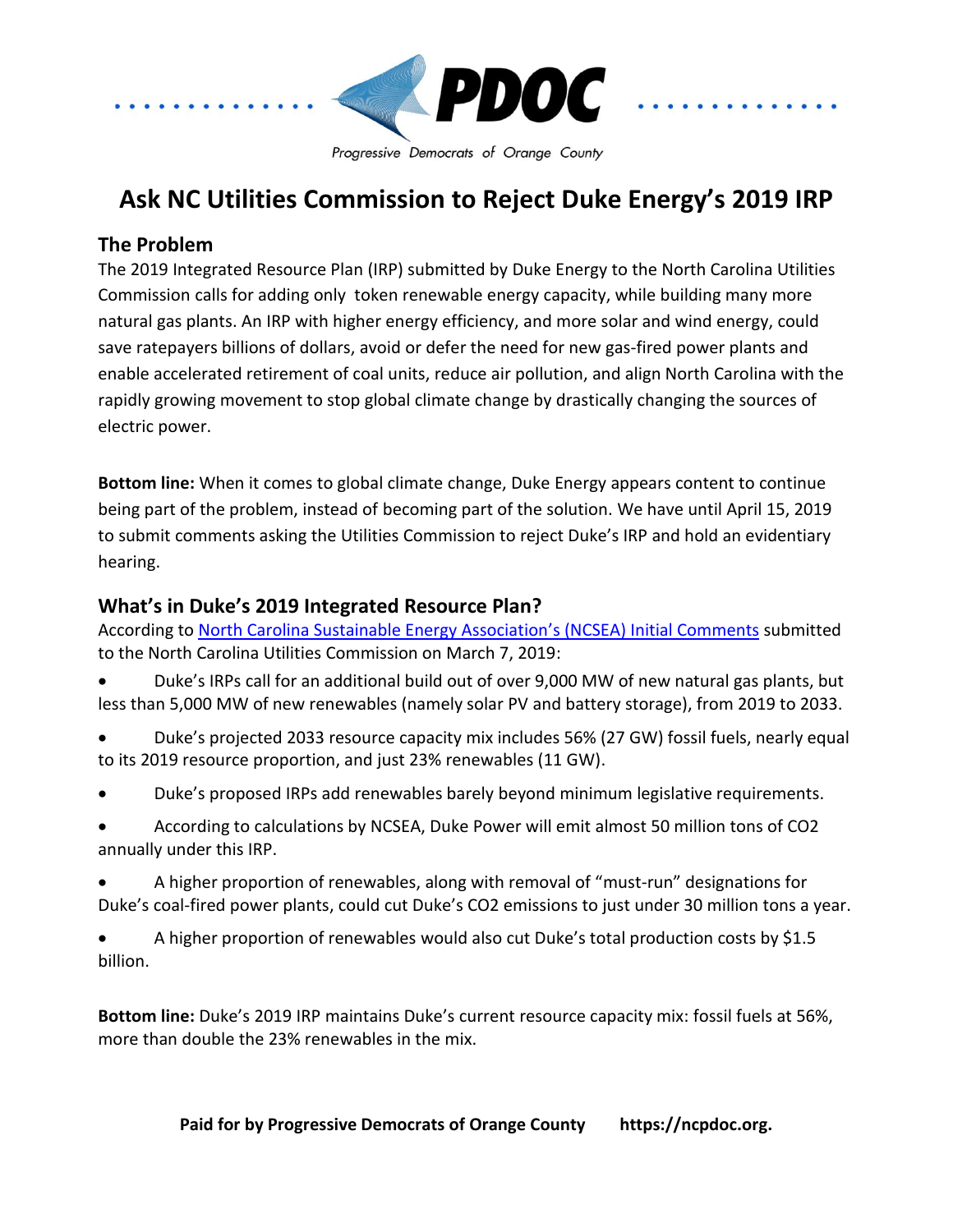

## **Ask NC Utilities Commission to Reject Duke Energy's 2019 IRP**

### **The Problem**

The 2019 Integrated Resource Plan (IRP) submitted by Duke Energy to the North Carolina Utilities Commission calls for adding only token renewable energy capacity, while building many more natural gas plants. An IRP with higher energy efficiency, and more solar and wind energy, could save ratepayers billions of dollars, avoid or defer the need for new gas-fired power plants and enable accelerated retirement of coal units, reduce air pollution, and align North Carolina with the rapidly growing movement to stop global climate change by drastically changing the sources of electric power.

**Bottom line:** When it comes to global climate change, Duke Energy appears content to continue being part of the problem, instead of becoming part of the solution. We have until April 15, 2019 to submit comments asking the Utilities Commission to reject Duke's IRP and hold an evidentiary hearing.

### **What's in Duke's 2019 Integrated Resource Plan?**

According to [North Carolina Sustainable Energy A](https://starw1.ncuc.net/NCUC/ViewFile.aspx?Id=891ac0cc-7aa9-4835-aed2-b15e9b5713e6&eType=EmailBlastContent&eId=5215083e-f68d-454d-bae1-be02af8b091d)ssociation's (NCSEA) Initial Comments submitted to the North Carolina Utilities Commission on March 7, 2019:

- Duke's IRPs call for an additional build out of over 9,000 MW of new natural gas plants, but less than 5,000 MW of new renewables (namely solar PV and battery storage), from 2019 to 2033.
- Duke's projected 2033 resource capacity mix includes 56% (27 GW) fossil fuels, nearly equal to its 2019 resource proportion, and just 23% renewables (11 GW).
- Duke's proposed IRPs add renewables barely beyond minimum legislative requirements.
- According to calculations by NCSEA, Duke Power will emit almost 50 million tons of CO2 annually under this IRP.
- A higher proportion of renewables, along with removal of "must-run" designations for Duke's coal-fired power plants, could cut Duke's CO2 emissions to just under 30 million tons a year.
- A higher proportion of renewables would also cut Duke's total production costs by \$1.5 billion.

**Bottom line:** Duke's 2019 IRP maintains Duke's current resource capacity mix: fossil fuels at 56%, more than double the 23% renewables in the mix.